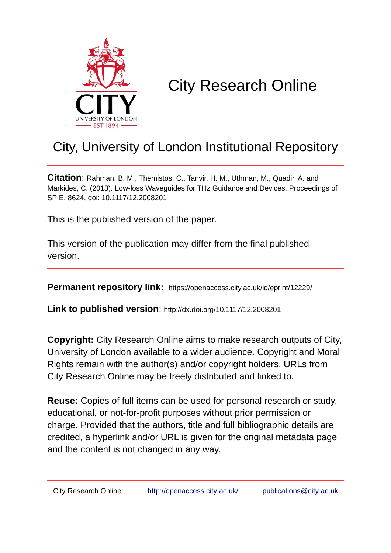

# City Research Online

## City, University of London Institutional Repository

**Citation**: Rahman, B. M., Themistos, C., Tanvir, H. M., Uthman, M., Quadir, A. and Markides, C. (2013). Low-loss Waveguides for THz Guidance and Devices. Proceedings of SPIE, 8624, doi: 10.1117/12.2008201

This is the published version of the paper.

This version of the publication may differ from the final published version.

**Permanent repository link:** https://openaccess.city.ac.uk/id/eprint/12229/

**Link to published version**: http://dx.doi.org/10.1117/12.2008201

**Copyright:** City Research Online aims to make research outputs of City, University of London available to a wider audience. Copyright and Moral Rights remain with the author(s) and/or copyright holders. URLs from City Research Online may be freely distributed and linked to.

**Reuse:** Copies of full items can be used for personal research or study, educational, or not-for-profit purposes without prior permission or charge. Provided that the authors, title and full bibliographic details are credited, a hyperlink and/or URL is given for the original metadata page and the content is not changed in any way.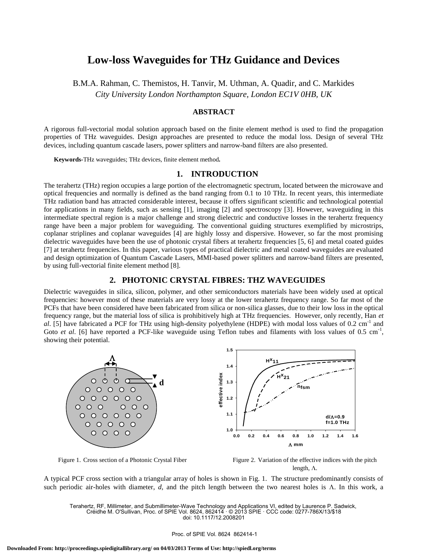### **Low-loss Waveguides for THz Guidance and Devices**

B.M.A. Rahman, C. Themistos, H. Tanvir, M. Uthman, A. Quadir, and C. Markides *City University London Northampton Square, London EC1V 0HB, UK*

#### **ABSTRACT**

A rigorous full-vectorial modal solution approach based on the finite element method is used to find the propagation properties of THz waveguides. Design approaches are presented to reduce the modal loss. Design of several THz devices, including quantum cascade lasers, power splitters and narrow-band filters are also presented.

**Keywords-**THz waveguides; THz devices, finite element method*.*

#### **1. INTRODUCTION**

The terahertz (THz) region occupies a large portion of the electromagnetic spectrum, located between the microwave and optical frequencies and normally is defined as the band ranging from 0.1 to 10 THz. In recent years, this intermediate THz radiation band has attracted considerable interest, because it offers significant scientific and technological potential for applications in many fields, such as sensing [1], imaging [2] and spectroscopy [3]. However, waveguiding in this intermediate spectral region is a major challenge and strong dielectric and conductive losses in the terahertz frequency range have been a major problem for waveguiding. The conventional guiding structures exemplified by microstrips, coplanar striplines and coplanar waveguides [4] are highly lossy and dispersive. However, so far the most promising dielectric waveguides have been the use of photonic crystal fibers at terahertz frequencies [5, 6] and metal coated guides [7] at terahertz frequencies. In this paper, various types of practical dielectric and metal coated waveguides are evaluated and design optimization of Quantum Cascade Lasers, MMI-based power splitters and narrow-band filters are presented, by using full-vectorial finite element method [8].

#### **2. PHOTONIC CRYSTAL FIBRES: THZ WAVEGUIDES**

Dielectric waveguides in silica, silicon, polymer, and other semiconductors materials have been widely used at optical frequencies: however most of these materials are very lossy at the lower terahertz frequency range. So far most of the PCFs that have been considered have been fabricated from silica or non-silica glasses, due to their low loss in the optical frequency range, but the material loss of silica is prohibitively high at THz frequencies. However, only recently, Han *et*  al. [5] have fabricated a PCF for THz using high-density polyethylene (HDPE) with modal loss values of 0.2 cm<sup>-1</sup> and Goto *et al.* [6] have reported a PCF-like waveguide using Teflon tubes and filaments with loss values of 0.5 cm<sup>-1</sup>, showing their potential.



Figure 1. Cross section of a Photonic Crystal Fiber Figure 2. Variation of the effective indices with the pitch length,  $\Lambda$ .

A typical PCF cross section with a triangular array of holes is shown in Fig. 1. The structure predominantly consists of such periodic air-holes with diameter,  $d$ , and the pitch length between the two nearest holes is  $\Lambda$ . In this work, a

Terahertz, RF, Millimeter, and Submillimeter-Wave Technology and Applications VI, edited by Laurence P. Sadwick, Créidhe M. O'Sullivan, Proc. of SPIE Vol. 8624, 862414 · © 2013 SPIE · CCC code: 0277-786X/13/\$18 doi: 10.1117/12.2008201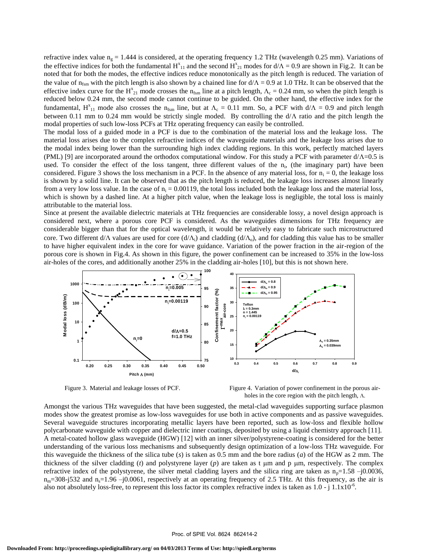refractive index value  $n_g = 1.444$  is considered, at the operating frequency 1.2 THz (wavelength 0.25 mm). Variations of the effective indices for both the fundamental  $H_{11}^x$  and the second  $H_{21}^x$  modes for  $d/\Lambda = 0.9$  are shown in Fig.2. It can be noted that for both the modes, the effective indices reduce monotonically as the pitch length is reduced. The variation of the value of n<sub>fsm</sub> with the pitch length is also shown by a chained line for  $d/\Lambda = 0.9$  at 1.0 THz. It can be observed that the effective index curve for the H<sup>x</sup><sub>21</sub> mode crosses the n<sub>fsm</sub> line at a pitch length,  $\Lambda_c = 0.24$  mm, so when the pitch length is reduced below 0.24 mm, the second mode cannot continue to be guided. On the other hand, the effective index for the fundamental,  $H_{11}^{x}$  mode also crosses the n<sub>fsm</sub> line, but at  $\Lambda_c = 0.11$  mm. So, a PCF with  $d/\Lambda = 0.9$  and pitch length between 0.11 mm to 0.24 mm would be strictly single moded. By controlling the  $d/\Lambda$  ratio and the pitch length the modal properties of such low-loss PCFs at THz operating frequency can easily be controlled.

The modal loss of a guided mode in a PCF is due to the combination of the material loss and the leakage loss. The material loss arises due to the complex refractive indices of the waveguide materials and the leakage loss arises due to the modal index being lower than the surrounding high index cladding regions. In this work, perfectly matched layers (PML) [9] are incorporated around the orthodox computational window. For this study a PCF with parameter  $d/\Lambda$ =0.5 is used. To consider the effect of the loss tangent, three different values of the n<sub>i</sub>, (the imaginary part) have been considered. Figure 3 shows the loss mechanism in a PCF. In the absence of any material loss, for  $n_i = 0$ , the leakage loss is shown by a solid line. It can be observed that as the pitch length is reduced, the leakage loss increases almost linearly from a very low loss value. In the case of  $n_i = 0.00119$ , the total loss included both the leakage loss and the material loss, which is shown by a dashed line. At a higher pitch value, when the leakage loss is negligible, the total loss is mainly attributable to the material loss.

Since at present the available dielectric materials at THz frequencies are considerable lossy, a novel design approach is considered next, where a porous core PCF is considered. As the waveguides dimensions for THz frequency are considerable bigger than that for the optical wavelength, it would be relatively easy to fabricate such microstructured core. Two different  $d/\Lambda$  values are used for core  $(d/\Lambda_i)$  and cladding  $(d/\Lambda_o)$ , and for cladding this value has to be smaller to have higher equivalent index in the core for wave guidance. Variation of the power fraction in the air-region of the porous core is shown in Fig.4. As shown in this figure, the power confinement can be increased to 35% in the low-loss air-holes of the cores, and additionally another 25% in the cladding air-holes [10], but this is not shown here.



Figure 3. Material and leakage losses of PCF. Figure 4. Variation of power confinement in the porous airholes in the core region with the pitch length,  $\Lambda$ .

Amongst the various THz waveguides that have been suggested, the metal-clad waveguides supporting surface plasmon modes show the greatest promise as low-loss waveguides for use both in active components and as passive waveguides. Several waveguide structures incorporating metallic layers have been reported, such as low-loss and flexible hollow polycarbonate waveguide with copper and dielectric inner coatings, deposited by using a liquid chemistry approach [11]. A metal-coated hollow glass waveguide (HGW) [12] with an inner silver/polystyrene-coating is considered for the better understanding of the various loss mechanisms and subsequently design optimization of a low-loss THz waveguide. For this waveguide the thickness of the silica tube (*s*) is taken as 0.5 mm and the bore radius (*a*) of the HGW as 2 mm. The thickness of the silver cladding (*t*) and polystyrene layer (*p*) are taken as t  $\mu$ m and  $p$   $\mu$ m, respectively. The complex refractive index of the polystyrene, the silver metal cladding layers and the silica ring are taken as  $n_p=1.58 - j0.0036$ ,  $n_m=308$ -j532 and  $n_s=1.96$  -j0.0061, respectively at an operating frequency of 2.5 THz. At this frequency, as the air is also not absolutely loss-free, to represent this loss factor its complex refractive index is taken as  $1.0 - j 1.1 \times 10^{-6}$ .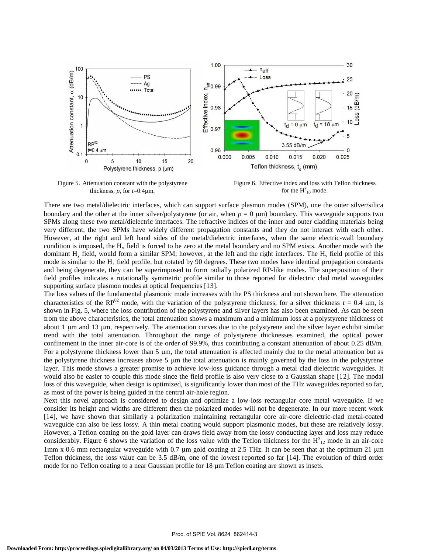

Figure 5. Attenuation constant with the polystyrene thickness,  $p$ , for  $t=0.4 \mu$ m.

Figure 6. Effective index and loss with Teflon thickness for the  $H_{10}^x$  mode.

There are two metal/dielectric interfaces, which can support surface plasmon modes (SPM), one the outer silver/silica boundary and the other at the inner silver/polystyrene (or air, when  $p = 0 \mu m$ ) boundary. This waveguide supports two SPMs along these two metal/dielectric interfaces. The refractive indices of the inner and outer cladding materials being very different, the two SPMs have widely different propagation constants and they do not interact with each other. However, at the right and left hand sides of the metal/dielectric interfaces, when the same electric-wall boundary condition is imposed, the  $H_x$  field is forced to be zero at the metal boundary and no SPM exists. Another mode with the dominant  $H_v$  field, would form a similar SPM; however, at the left and the right interfaces. The  $H_v$  field profile of this mode is similar to the  $H_x$  field profile, but rotated by 90 degrees. These two modes have identical propagation constants and being degenerate, they can be superimposed to form radially polarized RP-like modes. The superposition of their field profiles indicates a rotationally symmetric profile similar to those reported for dielectric clad metal waveguides supporting surface plasmon modes at optical frequencies [13].

The loss values of the fundamental plasmonic mode increases with the PS thickness and not shown here. The attenuation characteristics of the RP<sup>02</sup> mode, with the variation of the polystyrene thickness, for a silver thickness  $t = 0.4 \mu m$ , is shown in Fig. 5, where the loss contribution of the polystyrene and silver layers has also been examined. As can be seen from the above characteristics, the total attenuation shows a maximum and a minimum loss at a polystyrene thickness of about 1 um and 13 um, respectively. The attenuation curves due to the polystyrene and the silver layer exhibit similar trend with the total attenuation. Throughout the range of polystyrene thicknesses examined, the optical power confinement in the inner air-core is of the order of 99.9%, thus contributing a constant attenuation of about 0.25 dB/m. For a polystyrene thickness lower than  $5 \mu$ , the total attenuation is affected mainly due to the metal attenuation but as the polystyrene thickness increases above  $5 \mu m$  the total attenuation is mainly governed by the loss in the polystyrene layer. This mode shows a greater promise to achieve low-loss guidance through a metal clad dielectric waveguides. It would also be easier to couple this mode since the field profile is also very close to a Gaussian shape [12]. The modal loss of this waveguide, when design is optimized, is significantly lower than most of the THz waveguides reported so far, as most of the power is being guided in the central air-hole region.

Next this novel approach is considered to design and optimize a low-loss rectangular core metal waveguide. If we consider its height and widths are different then the polarized modes will not be degenerate. In our more recent work [14], we have shown that similarly a polarization maintaining rectangular core air-core dielectric-clad metal-coated waveguide can also be less lossy. A thin metal coating would support plasmonic modes, but these are relatively lossy. However, a Teflon coating on the gold layer can draws field away from the lossy conducting layer and loss may reduce considerably. Figure 6 shows the variation of the loss value with the Teflon thickness for the  $H_{12}^x$  mode in an air-core 1mm x 0.6 mm rectangular waveguide with 0.7  $\mu$ m gold coating at 2.5 THz. It can be seen that at the optimum 21  $\mu$ m Teflon thickness, the loss value can be 3.5 dB/m, one of the lowest reported so far [14]. The evolution of third order mode for no Teflon coating to a near Gaussian profile for 18  $\mu$ m Teflon coating are shown as insets.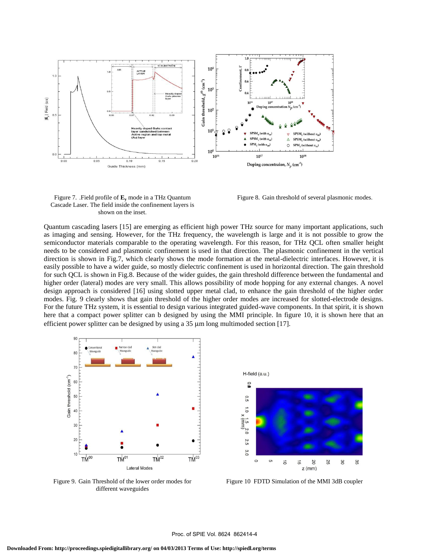

Figure 7. .Field profile of **E<sup>y</sup>** mode in a THz Quantum Cascade Laser. The field inside the confinement layers is shown on the inset.

Figure 8. Gain threshold of several plasmonic modes.

Quantum cascading lasers [15] are emerging as efficient high power THz source for many important applications, such as imaging and sensing. However, for the THz frequency, the wavelength is large and it is not possible to grow the semiconductor materials comparable to the operating wavelength. For this reason, for THz QCL often smaller height needs to be considered and plasmonic confinement is used in that direction. The plasmonic confinement in the vertical direction is shown in Fig.7, which clearly shows the mode formation at the metal-dielectric interfaces. However, it is easily possible to have a wider guide, so mostly dielectric confinement is used in horizontal direction. The gain threshold for such QCL is shown in Fig.8. Because of the wider guides, the gain threshold difference between the fundamental and higher order (lateral) modes are very small. This allows possibility of mode hopping for any external changes. A novel design approach is considered [16] using slotted upper metal clad, to enhance the gain threshold of the higher order modes. Fig. 9 clearly shows that gain threshold of the higher order modes are increased for slotted-electrode designs. For the future THz system, it is essential to design various integrated guided-wave components. In that spirit, it is shown here that a compact power splitter can b designed by using the MMI principle. In figure 10, it is shown here that an efficient power splitter can be designed by using a  $35 \mu m$  long multimoded section [17].



Figure 9. Gain Threshold of the lower order modes for different waveguides



Figure 10 FDTD Simulation of the MMI 3dB coupler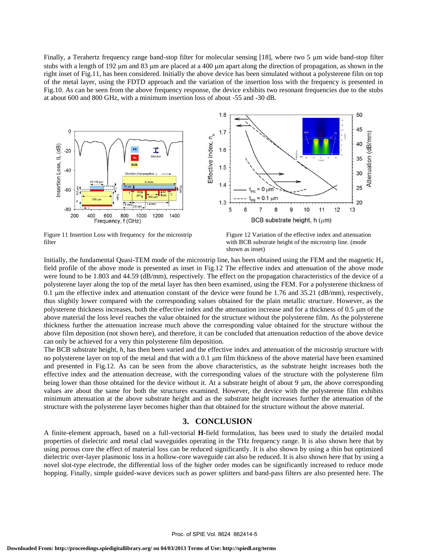Finally, a Terahertz frequency range band-stop filter for molecular sensing [18], where two 5 μm wide band-stop filter stubs with a length of 192 μm and 83 μm are placed at a 400 μm apart along the direction of propagation, as shown in the right inset of Fig.11, has been considered. Initially the above device has been simulated without a polysterene film on top of the metal layer, using the FDTD approach and the variation of the insertion loss with the frequency is presented in Fig.10. As can be seen from the above frequency response, the device exhibits two resonant frequencies due to the stubs at about 600 and 800 GHz, with a minimum insertion loss of about -55 and -30 dB.



Figure 11 Insertion Loss with frequency for the microstrip filter

Figure 12 Variation of the effective index and attenuation with BCB substrate height of the microstrip line. (mode shown as inset)

Initially, the fundamental Quasi-TEM mode of the microstrip line, has been obtained using the FEM and the magnetic  $H_x$ field profile of the above mode is presented as inset in Fig.12 The effective index and attenuation of the above mode were found to be 1.803 and 44.59 (dB/mm), respectively. The effect on the propagation characteristics of the device of a polysterene layer along the top of the metal layer has then been examined, using the FEM. For a polysterene thickness of 0.1 um the effective index and attenuation constant of the device were found be  $1.76$  and  $35.21$  (dB/mm), respectively, thus slightly lower compared with the corresponding values obtained for the plain metallic structure. However, as the polysterene thickness increases, both the effective index and the attenuation increase and for a thickness of 0.5 m of the above material the loss level reaches the value obtained for the structure without the polysterene film. As the polysterene thickness further the attenuation increase much above the corresponding value obtained for the structure without the above film deposition (not shown here), and therefore, it can be concluded that attenuation reduction of the above device can only be achieved for a very thin polysterene film deposition.

The BCB substrate height, *h*, has then been varied and the effective index and attenuation of the microstrip structure with no polysterene layer on top of the metal and that with a 0.1  $\mu$ m film thickness of the above material have been examined and presented in Fig.12. As can be seen from the above characteristics, as the substrate height increases both the effective index and the attenuation decrease, with the corresponding values of the structure with the polysterene film being lower than those obtained for the device without it. At a substrate height of about 9 µm, the above corresponding values are about the same for both the structures examined. However, the device with the polysterene film exhibits minimum attenuation at the above substrate height and as the substrate height increases further the attenuation of the structure with the polysterene layer becomes higher than that obtained for the structure without the above material.

#### **3. CONCLUSION**

A finite-element approach, based on a full-vectorial **H**-field formulation, has been used to study the detailed modal properties of dielectric and metal clad waveguides operating in the THz frequency range. It is also shown here that by using porous core the effect of material loss can be reduced significantly. It is also shown by using a thin but optimized dielectric over-layer plasmonic loss in a hollow-core waveguide can also be reduced. It is also shown here that by using a novel slot-type electrode, the differential loss of the higher order modes can be significantly increased to reduce mode hopping. Finally, simple guided-wave devices such as power splitters and band-pass filters are also presented here. The